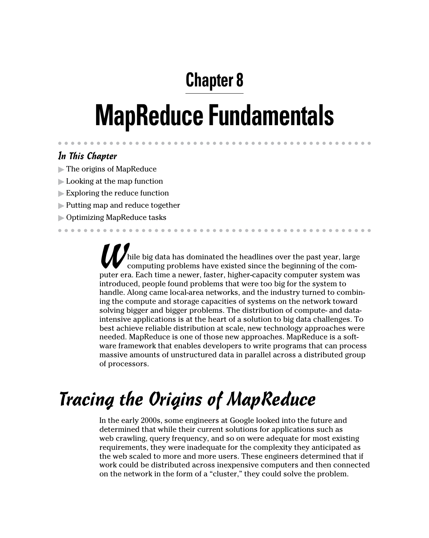# **Chapter 8 MapReduce Fundamentals**

-------

#### In This Chapter

- ▶ The origins of MapReduce
- ▶ Looking at the map function
- ▶ Exploring the reduce function
- ▶ Putting map and reduce together
- ▶ Optimizing MapReduce tasks

Thile big data has dominated the headlines over the past year, large computing problems have existed since the beginning of the computer era. Each time a newer, faster, higher-capacity computer system was introduced, people found problems that were too big for the system to handle. Along came local-area networks, and the industry turned to combining the compute and storage capacities of systems on the network toward solving bigger and bigger problems. The distribution of compute- and dataintensive applications is at the heart of a solution to big data challenges. To best achieve reliable distribution at scale, new technology approaches were needed. MapReduce is one of those new approaches. MapReduce is a software framework that enables developers to write programs that can process massive amounts of unstructured data in parallel across a distributed group of processors.

......................

### Tracing the Origins of MapReduce

In the early 2000s, some engineers at Google looked into the future and determined that while their current solutions for applications such as web crawling, query frequency, and so on were adequate for most existing requirements, they were inadequate for the complexity they anticipated as the web scaled to more and more users. These engineers determined that if work could be distributed across inexpensive computers and then connected on the network in the form of a "cluster," they could solve the problem.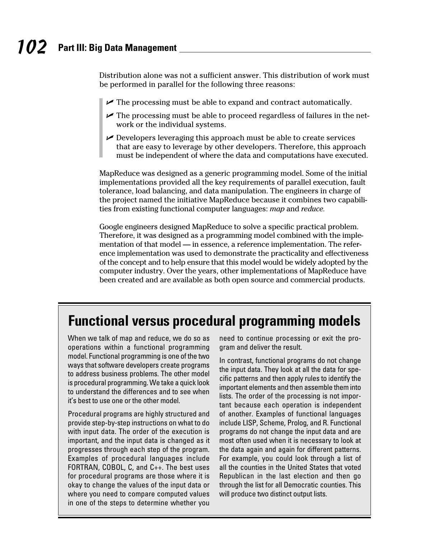Distribution alone was not a sufficient answer. This distribution of work must be performed in parallel for the following three reasons:

- $\triangleright$  The processing must be able to expand and contract automatically.
- $\triangleright$  The processing must be able to proceed regardless of failures in the network or the individual systems.
- $\triangleright$  Developers leveraging this approach must be able to create services that are easy to leverage by other developers. Therefore, this approach must be independent of where the data and computations have executed.

MapReduce was designed as a generic programming model. Some of the initial implementations provided all the key requirements of parallel execution, fault tolerance, load balancing, and data manipulation. The engineers in charge of the project named the initiative MapReduce because it combines two capabilities from existing functional computer languages: *map* and *reduce.*

Google engineers designed MapReduce to solve a specific practical problem. Therefore, it was designed as a programming model combined with the implementation of that model — in essence, a reference implementation. The reference implementation was used to demonstrate the practicality and effectiveness of the concept and to help ensure that this model would be widely adopted by the computer industry. Over the years, other implementations of MapReduce have been created and are available as both open source and commercial products.

#### **Functional versus procedural programming models**

When we talk of map and reduce, we do so as operations within a functional programming model. Functional programming is one of the two ways that software developers create programs to address business problems. The other model is procedural programming. We take a quick look to understand the differences and to see when it's best to use one or the other model.

Procedural programs are highly structured and provide step-by-step instructions on what to do with input data. The order of the execution is important, and the input data is changed as it progresses through each step of the program. Examples of procedural languages include FORTRAN, COBOL, C, and C++. The best uses for procedural programs are those where it is okay to change the values of the input data or where you need to compare computed values in one of the steps to determine whether you

need to continue processing or exit the program and deliver the result.

In contrast, functional programs do not change the input data. They look at all the data for specific patterns and then apply rules to identify the important elements and then assemble them into lists. The order of the processing is not important because each operation is independent of another. Examples of functional languages include LISP, Scheme, Prolog, and R. Functional programs do not change the input data and are most often used when it is necessary to look at the data again and again for different patterns. For example, you could look through a list of all the counties in the United States that voted Republican in the last election and then go through the list for all Democratic counties. This will produce two distinct output lists.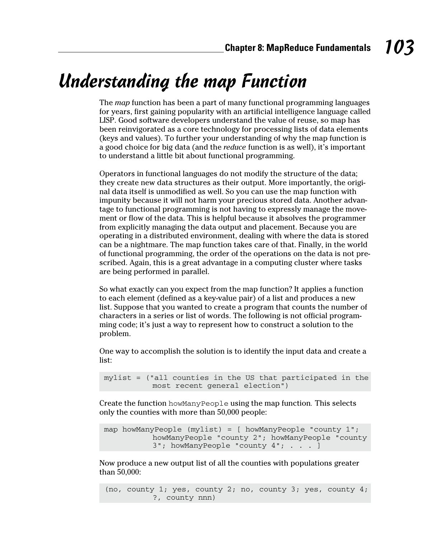#### Understanding the map Function

The *map* function has been a part of many functional programming languages for years, first gaining popularity with an artificial intelligence language called LISP. Good software developers understand the value of reuse, so map has been reinvigorated as a core technology for processing lists of data elements (keys and values). To further your understanding of why the map function is a good choice for big data (and the *reduce* function is as well), it's important to understand a little bit about functional programming.

Operators in functional languages do not modify the structure of the data; they create new data structures as their output. More importantly, the original data itself is unmodified as well. So you can use the map function with impunity because it will not harm your precious stored data. Another advantage to functional programming is not having to expressly manage the movement or flow of the data. This is helpful because it absolves the programmer from explicitly managing the data output and placement. Because you are operating in a distributed environment, dealing with where the data is stored can be a nightmare. The map function takes care of that. Finally, in the world of functional programming, the order of the operations on the data is not prescribed. Again, this is a great advantage in a computing cluster where tasks are being performed in parallel.

So what exactly can you expect from the map function? It applies a function to each element (defined as a key-value pair) of a list and produces a new list. Suppose that you wanted to create a program that counts the number of characters in a series or list of words. The following is not official programming code; it's just a way to represent how to construct a solution to the problem.

One way to accomplish the solution is to identify the input data and create a list:

mylist = ("all counties in the US that participated in the most recent general election")

Create the function howManyPeople using the map function*.* This selects only the counties with more than 50,000 people:

```
map howManyPeople (mylist) = [ howManyPeople "county 1"; 
           howManyPeople "county 2"; howManyPeople "county 
           3"; howManyPeople "county 4"; . . . ]
```
Now produce a new output list of all the counties with populations greater than 50,000:

(no, county 1; yes, county 2; no, county 3; yes, county 4; ?, county nnn)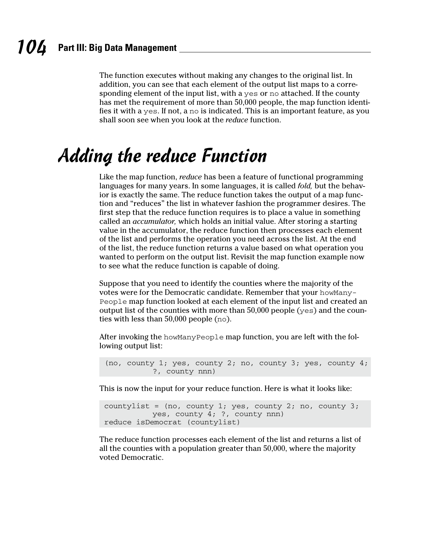The function executes without making any changes to the original list. In addition, you can see that each element of the output list maps to a corresponding element of the input list, with a yes or no attached. If the county has met the requirement of more than 50,000 people, the map function identifies it with a yes. If not, a no is indicated. This is an important feature, as you shall soon see when you look at the *reduce* function.

### Adding the reduce Function

Like the map function, *reduce* has been a feature of functional programming languages for many years. In some languages, it is called *fold,* but the behavior is exactly the same. The reduce function takes the output of a map function and "reduces" the list in whatever fashion the programmer desires. The first step that the reduce function requires is to place a value in something called an *accumulator,* which holds an initial value. After storing a starting value in the accumulator, the reduce function then processes each element of the list and performs the operation you need across the list. At the end of the list, the reduce function returns a value based on what operation you wanted to perform on the output list. Revisit the map function example now to see what the reduce function is capable of doing.

Suppose that you need to identify the counties where the majority of the votes were for the Democratic candidate. Remember that your howMany-People map function looked at each element of the input list and created an output list of the counties with more than 50,000 people (yes) and the counties with less than 50,000 people (no).

After invoking the howManyPeople map function, you are left with the following output list:

(no, county 1; yes, county 2; no, county 3; yes, county 4; ?, county nnn)

This is now the input for your reduce function. Here is what it looks like:

```
countylist = (no, county 1; yes, county 2; no, county 3;
          yes, county 4; ?, county nnn)
reduce isDemocrat (countylist)
```
The reduce function processes each element of the list and returns a list of all the counties with a population greater than 50,000, where the majority voted Democratic.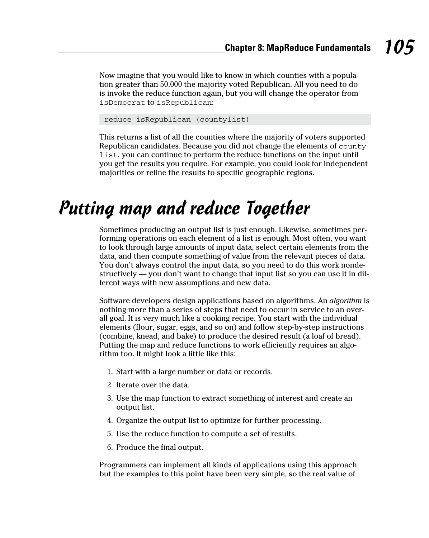Now imagine that you would like to know in which counties with a population greater than 50,000 the majority voted Republican. All you need to do is invoke the reduce function again, but you will change the operator from isDemocrat to isRepublican:

reduce isRepublican (countylist)

This returns a list of all the counties where the majority of voters supported Republican candidates. Because you did not change the elements of county list, you can continue to perform the reduce functions on the input until you get the results you require. For example, you could look for independent majorities or refine the results to specific geographic regions.

#### Putting map and reduce Together

Sometimes producing an output list is just enough. Likewise, sometimes performing operations on each element of a list is enough. Most often, you want to look through large amounts of input data, select certain elements from the data, and then compute something of value from the relevant pieces of data. You don't always control the input data, so you need to do this work nondestructively — you don't want to change that input list so you can use it in different ways with new assumptions and new data.

Software developers design applications based on algorithms. An *algorithm* is nothing more than a series of steps that need to occur in service to an overall goal. It is very much like a cooking recipe. You start with the individual elements (flour, sugar, eggs, and so on) and follow step-by-step instructions (combine, knead, and bake) to produce the desired result (a loaf of bread). Putting the map and reduce functions to work efficiently requires an algorithm too. It might look a little like this:

- 1. Start with a large number or data or records.
- 2. Iterate over the data.
- 3. Use the map function to extract something of interest and create an output list.
- 4. Organize the output list to optimize for further processing.
- 5. Use the reduce function to compute a set of results.
- 6. Produce the final output.

Programmers can implement all kinds of applications using this approach, but the examples to this point have been very simple, so the real value of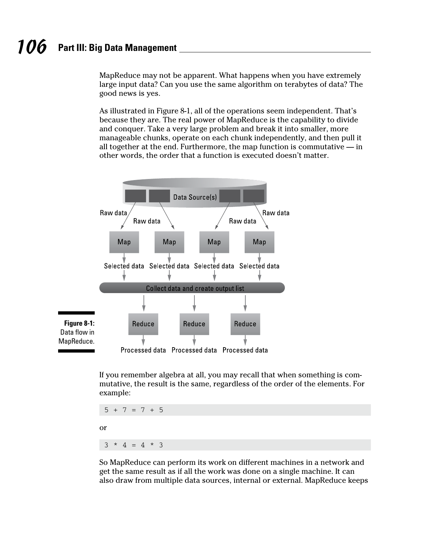MapReduce may not be apparent. What happens when you have extremely large input data? Can you use the same algorithm on terabytes of data? The good news is yes.

As illustrated in Figure 8-1, all of the operations seem independent. That's because they are. The real power of MapReduce is the capability to divide and conquer. Take a very large problem and break it into smaller, more manageable chunks, operate on each chunk independently, and then pull it all together at the end. Furthermore, the map function is commutative — in other words, the order that a function is executed doesn't matter.



If you remember algebra at all, you may recall that when something is commutative, the result is the same, regardless of the order of the elements. For example:

$$
5 + 7 = 7 + 5
$$

or

 $3 * 4 = 4 * 3$ 

So MapReduce can perform its work on different machines in a network and get the same result as if all the work was done on a single machine. It can also draw from multiple data sources, internal or external. MapReduce keeps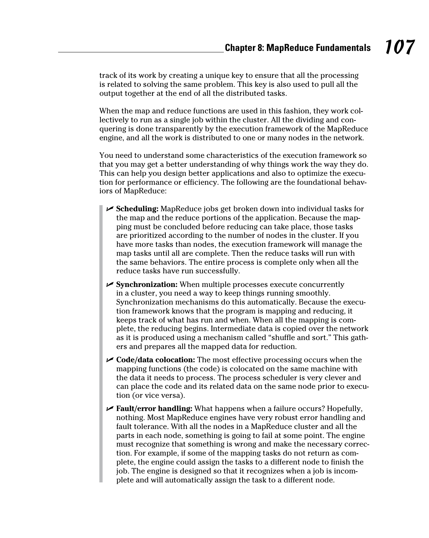track of its work by creating a unique key to ensure that all the processing is related to solving the same problem. This key is also used to pull all the output together at the end of all the distributed tasks.

When the map and reduce functions are used in this fashion, they work collectively to run as a single job within the cluster. All the dividing and conquering is done transparently by the execution framework of the MapReduce engine, and all the work is distributed to one or many nodes in the network.

You need to understand some characteristics of the execution framework so that you may get a better understanding of why things work the way they do. This can help you design better applications and also to optimize the execution for performance or efficiency. The following are the foundational behaviors of MapReduce:

- ✓ **Scheduling:** MapReduce jobs get broken down into individual tasks for the map and the reduce portions of the application. Because the mapping must be concluded before reducing can take place, those tasks are prioritized according to the number of nodes in the cluster. If you have more tasks than nodes, the execution framework will manage the map tasks until all are complete. Then the reduce tasks will run with the same behaviors. The entire process is complete only when all the reduce tasks have run successfully.
- ✓ **Synchronization:** When multiple processes execute concurrently in a cluster, you need a way to keep things running smoothly. Synchronization mechanisms do this automatically. Because the execution framework knows that the program is mapping and reducing, it keeps track of what has run and when. When all the mapping is complete, the reducing begins. Intermediate data is copied over the network as it is produced using a mechanism called "shuffle and sort." This gathers and prepares all the mapped data for reduction.
- ✓ **Code/data colocation:** The most effective processing occurs when the mapping functions (the code) is colocated on the same machine with the data it needs to process. The process scheduler is very clever and can place the code and its related data on the same node prior to execution (or vice versa).
- ✓ **Fault/error handling:** What happens when a failure occurs? Hopefully, nothing. Most MapReduce engines have very robust error handling and fault tolerance. With all the nodes in a MapReduce cluster and all the parts in each node, something is going to fail at some point. The engine must recognize that something is wrong and make the necessary correction. For example, if some of the mapping tasks do not return as complete, the engine could assign the tasks to a different node to finish the job. The engine is designed so that it recognizes when a job is incomplete and will automatically assign the task to a different node.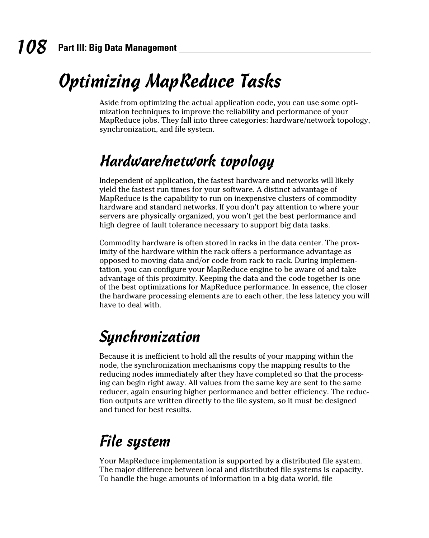## Optimizing MapReduce Tasks

Aside from optimizing the actual application code, you can use some optimization techniques to improve the reliability and performance of your MapReduce jobs. They fall into three categories: hardware/network topology, synchronization, and file system.

#### Hardware/network topology

Independent of application, the fastest hardware and networks will likely yield the fastest run times for your software. A distinct advantage of MapReduce is the capability to run on inexpensive clusters of commodity hardware and standard networks. If you don't pay attention to where your servers are physically organized, you won't get the best performance and high degree of fault tolerance necessary to support big data tasks.

Commodity hardware is often stored in racks in the data center. The proximity of the hardware within the rack offers a performance advantage as opposed to moving data and/or code from rack to rack. During implementation, you can configure your MapReduce engine to be aware of and take advantage of this proximity. Keeping the data and the code together is one of the best optimizations for MapReduce performance. In essence, the closer the hardware processing elements are to each other, the less latency you will have to deal with.

#### Synchronization

Because it is inefficient to hold all the results of your mapping within the node, the synchronization mechanisms copy the mapping results to the reducing nodes immediately after they have completed so that the processing can begin right away. All values from the same key are sent to the same reducer, again ensuring higher performance and better efficiency. The reduction outputs are written directly to the file system, so it must be designed and tuned for best results.

#### File system

Your MapReduce implementation is supported by a distributed file system. The major difference between local and distributed file systems is capacity. To handle the huge amounts of information in a big data world, file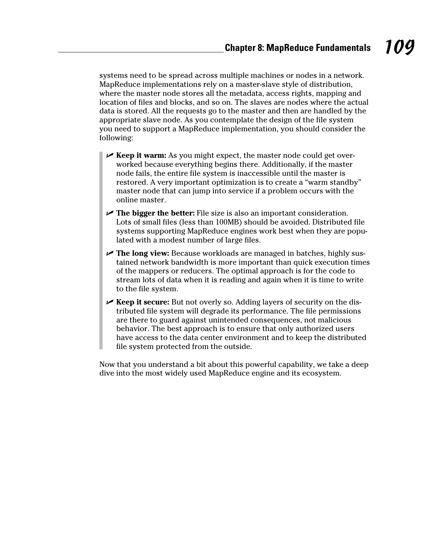systems need to be spread across multiple machines or nodes in a network. MapReduce implementations rely on a master-slave style of distribution, where the master node stores all the metadata, access rights, mapping and location of files and blocks, and so on. The slaves are nodes where the actual data is stored. All the requests go to the master and then are handled by the appropriate slave node. As you contemplate the design of the file system you need to support a MapReduce implementation, you should consider the following:

- ✓ **Keep it warm:** As you might expect, the master node could get overworked because everything begins there. Additionally, if the master node fails, the entire file system is inaccessible until the master is restored. A very important optimization is to create a "warm standby" master node that can jump into service if a problem occurs with the online master.
- ✓ **The bigger the better:** File size is also an important consideration. Lots of small files (less than 100MB) should be avoided. Distributed file systems supporting MapReduce engines work best when they are populated with a modest number of large files.
- ✓ **The long view:** Because workloads are managed in batches, highly sustained network bandwidth is more important than quick execution times of the mappers or reducers. The optimal approach is for the code to stream lots of data when it is reading and again when it is time to write to the file system.
- ✓ **Keep it secure:** But not overly so. Adding layers of security on the distributed file system will degrade its performance. The file permissions are there to guard against unintended consequences, not malicious behavior. The best approach is to ensure that only authorized users have access to the data center environment and to keep the distributed file system protected from the outside.

Now that you understand a bit about this powerful capability, we take a deep dive into the most widely used MapReduce engine and its ecosystem.